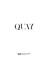# QUIT

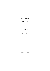# **BAR MANAGER**

Silvia Ali Idris

# **BARTENDER**

Alassane Kane

 *A Sunday surcharge of 10% and Public Holiday surcharge of 12.5% will be applied to all food and beverage prices on relevant days.*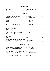#### **MINERAL WATER**

| Acqua Panna    | 1 Litre   Tuscany, Italy          | 14 |
|----------------|-----------------------------------|----|
| San Pellegrino | 1 Litre   Bergamo, Lombardy Italy | 14 |

# **APÉRITIFS**

# **APÉRITIFS**

| 17.5%   Melbourne    | 14 |
|----------------------|----|
| 18.2%   Huon Valley  | 14 |
| 11%   Padua, Italy   | 12 |
| 25%   Milan, Italy   | 12 |
| 40%   Thuir, France  | 12 |
| 15%   Cognac, France | 12 |
| 20%   Turin, Italy   | 14 |
|                      |    |

# **SAKÉ***– 60ml*

**BEER & CIDER**

| Junmai Muroka Nama                      |                  |    |
|-----------------------------------------|------------------|----|
| 2016 Naka Shuzo, 'Asahi Wakamatsu'      | 19%   Tokushima  | 20 |
| Junmai Muroka Nama Genshu               |                  |    |
| 2019 Fukuchiyo Shuzo, Nabeshima         | $16\%$   Saga    | 17 |
| 'Gohyakumangoku', Junmai Ginjo Muroka   |                  |    |
| 2018 Mukai Shuzo, 'Ine Mankai'          | $14.1\%$   Kyoto | 21 |
| Junmai Genshu                           |                  |    |
| 2018 Kidoizumi Shuzo, 'Hakugyokuko'     | $18\%$   Chiba   | 25 |
| Junmai Ginjo Yamahai Muroka Nama Genshu |                  |    |
| NV Heiwa Shuzo Tsuru-Ume Yuzushu        | 7.5%   Wakayama  | 17 |
| NV Houraisen Kanjuku Umeshu             | 14%   Aichi      | 23 |

#### **BEERS AND CIDERS**

| Holgate Brewhouse Love All Pale Ale                         | $0.5\%$   Woodend     | 12 |
|-------------------------------------------------------------|-----------------------|----|
| Bridge Road Brewers Little Bling                            | 3.4%   Beechworth     | 12 |
| Sydney Beer Co. Lager                                       | $4.5\%$   Sydney      | 13 |
| Heads of Noosa Brewing Co. Japanese Lager 4.5%   Noosaville |                       | 14 |
| Eagle Bay Brewing Co. Pale Ale                              | 5.1%   Margaret River | 14 |
| Moo Brew Dark Ale                                           | $5.0\%$   Hobart      | 14 |
| Willie Smith's Organic Apple Cider                          | 5.4%   Huon Valley    | 15 |
|                                                             |                       |    |

Percentage indicates alcohol by volume.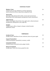| <b>Maiden's Tonic</b><br>Tanqueray No. Ten gin, Maidenii La Tonique Quinquina<br>lemon scented fino sherry, Quay bitters, grapefruit soda                  | 26 |
|------------------------------------------------------------------------------------------------------------------------------------------------------------|----|
| <b>The Arcade</b><br>Ketel One vodka infused with vanilla, coconut and seasoned oak<br>Martell Blue Swift soaked grapes, pomegranate & spice, passionfruit | 26 |
| <b>Apple Isle Fog</b><br>Granny smith apple infused Oates clear apple spirit, cold pressed pear<br>pomegranate, baking spices, yuzu, apple fog             | 30 |
| Imagine<br>Tanqueray gin, saffron, Campari, nitrogen crushed lavender<br>elderflower, lemon                                                                | 28 |

# **COCKTAILS AT QUAY**

# **TEMPERANCE**

| <b>Garden &amp; Tonic</b><br>Seedlip Garden, elderflower & tonic reduction, lemon oil, green apple | 18 |
|----------------------------------------------------------------------------------------------------|----|
| <b>Grape &amp; Passionfruit</b><br>Cold pressed grapes, passionfruit, rosemary, vanilla            | 18 |
| <b>Consommé &amp; Dashi</b><br>Clarified tomato consommé, ponzu, ginger, kombu                     | 18 |
| <b>Honey &amp; Grapefruit</b><br>Seedlip Spice, Yellow Box honey, grapefruit soda                  | 18 |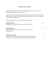#### **QQQQ Gin by Four Pillars**

Peter Gilmore has teamed up with Yarra Valley distillery Four Pillars to create a distinctly Australian gin. Quay Botanic Gin.

Juniper is a staple found in all gins, along with home-grown botanicals lemon leaves, fennel, strawberry gum, bee pollen, cinnamon myrtle, desert lime, grains of paradise, meadowsweet, and mandarin.

We encourage you to try it in one of the below classic styles:

| QQQQ Gin & Tonic<br>Served with Strangelove light tonic, lemon and bee pollen                                                                            |    |
|----------------------------------------------------------------------------------------------------------------------------------------------------------|----|
| QQQQ Gin Martini<br>Served with Oscar 697 extra dry vermouth, lemon twist and<br>mandarin mist                                                           | 26 |
| QQQQ Barrel Negroni<br>Four Q Gin rested in our Four Pillars barrel, together with Campari<br>Carpano rosso vermouth and Carpano Antica Formula vermouth | 26 |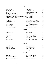#### **GIN**

| Ester Dry gin                                               | $43\%$   Sydney             | 16 |
|-------------------------------------------------------------|-----------------------------|----|
| QQQQ by Four Pillars                                        | 44.8%   Healesville         | 18 |
| KISO'gin                                                    | 43.5%   Kangaroo Island     | 17 |
| Poltergeist Unfiltered                                      | $46\%$   Hobart             | 17 |
| Farmer's Wife Autumn Dry                                    | 48%   Allworth              | 18 |
| Never Never Distilling Co. Southern Strength 52%   Adelaide |                             | 19 |
| Seven Season Bush Apple Gin                                 | 42%   Adelaide              | 18 |
| Tanqueray                                                   | 40%   Edinburgh, Scotland   | 13 |
| Tanqueray No. Ten                                           | 47.3%   Edinburgh, Scotland | 18 |
| Hendrick's                                                  | 41.4%   Glasgow, Scotland   | 18 |
| Hernö Old Tom                                               | 43%   Härnösand, Sweden     | 18 |
| Amazonian Gin                                               | 41%   Lima, Peru            | 18 |
| <b>Audemus Pink Pepper</b>                                  | 44%   Cognac, France        | 19 |

#### **VODKA**

| <b>OCD Lemon Drop</b> | $44\%$   Sydney         | 16 |
|-----------------------|-------------------------|----|
| Ketel One             | 40%   Schiedam, Holland | 13 |
| Ciroc                 | 40%   Cognac, France    | 17 |
| Grey Goose            | 40%   Cognac, France    | 18 |
| <b>Belvedere Pure</b> | 40%   Żyrardów, Poland  | 18 |

# **TEQUILA**

| Don Julio Blanco               | 38%   Jalisco, Mexico                | 15 |  |
|--------------------------------|--------------------------------------|----|--|
| Calle 23 Blanco                | 40%   <i>Jalisco</i> , <i>Mexico</i> | 15 |  |
| Fortaleza Reposado             | 40%   <i>Jalisco</i> , <i>Mexico</i> | 20 |  |
| Ocho Single Barrel Extra Añejo | 54.2%   Jalisco, Mexico              | 46 |  |

#### **MEZCAL**

| Ilegal Joven             | 40%   Oaxaca, Mexico | 14 |
|--------------------------|----------------------|----|
| Del Maguey Chichicapa    | 46%   Oaxaca, Mexico | 15 |
| Quiquiriqui Pechuga Mole | 49%   Oaxaca, Mexico | 20 |

Percentage indicates alcohol by volume.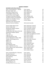# **WHISKY/WHISKEY**

# **BLENDED AND SINGLE MALTS**

| Otter Craft Distilling No. 7 NFOXP    | $52\%$   Sydney                      | 30  |
|---------------------------------------|--------------------------------------|-----|
| <b>Blackgate Single Cask</b>          | 50%   Mendooran                      | 52  |
| Boatrocker Forget Me Not              | 50%   Melbourne                      | 34  |
| Lark Distillery Classic Cask          | 43%   Hobart                         | 35  |
| Lark Distillery Cask Strength         | 58%   Hobart                         | 41  |
| 78 Degrees Australian Whiskey         | 42%   Adelaide Hills                 | 20  |
| 78 Degrees Native Grain Whiskey       | 46.2%   Adelaide Hills               | 48  |
| <b>Sullivan Cove Distillery Tawny</b> | 47%   Hobart                         | 60  |
| <b>Sullivan Cove Distillery</b>       | 47.4%   Hobart                       | 90  |
| Old & Rare 19yo American Oak          |                                      |     |
| <b>Albatross Fleurieu Distillery</b>  | 46%   South Australia                | 25  |
| Johnnie Walker Black Label            | 40%   Edinburgh, Scotland            | 14  |
| Johnnie Walker Blue                   | 40%   Edinburgh, Scotland            | 29  |
| <b>Glenkinchie Distillers Edition</b> | 43%   Lowlands, Scotland             | 26  |
| Cragganmore 12yo                      | 40%   Speyside, Scotland             | 16  |
| The Macallan 18yo Sherry Oak Cask     | 43%   Speyside, Scotland             | 75  |
| Dalwhinnie Distillers Edition         | 43%   Highlands, Scotland            | 29  |
| Oban 14yo                             | 43%   West Coast Highlands, Scotland | 18  |
| Lagavulin 16yo                        | 43%   Islay, Scotland                | 20  |
| Laphroaig Quarter Cask                | 48%   Islay, Scotland                | 24  |
| Gordon Macphail Port Ellen 1980       | 46%   Islay, Scotland                | 310 |
| Talisker 40yo Bodega Series           | 50%   Isle of Skye, Scotland         | 485 |
| Hibiki 17yo                           | 43%   Aichi, Japan                   | 165 |
| Hibiki 21yo                           | 43%   Aichi, Japan                   | 185 |
| Akkeshi Usui                          | 48%   Hokkaido, Japan                | 52  |
| Mars Maltage Cosmo                    | 43%   Nagano, Japan                  | 30  |
| Ichiro's Malt The First Ten           | 50.5%   Saitama, Japan               | 65  |
| Ichiro's Malt & Grain Limited Edition | 48%   Saitama, Japan                 | 53  |
| Yamazaki 18yo                         | 43%   Osaka, Japan                   | 190 |
| Kinahans 10yo                         | 46%   Dublin, Ireland                | 24  |
| Otter Craft Distilling No. 4 Bourbon  | $52\%$   Sydney                      | 30  |
| <b>Woodford Reserve</b>               | 40%   Kentucky                       | 14  |
| Elijah Craig Small Batch              | 47%   Kentucky                       | 19  |
| Koval Bourbon                         | 47%   Chicago                        | 23  |
| <b>Bulleit Rye</b>                    | 45%   Kentucky                       | 14  |
| Michter's Single Barrel Rye           | $42.4\%$   Kentucky                  | 23  |
| Whistlepig Rye 15yo                   | 46%   Vermont                        | 46  |
| George Dickel No. 12                  | 45%   Tennessee                      | 14  |
|                                       |                                      |     |

Percentage indicates alcohol by volume.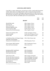#### **LOUIS XIII by REMY MARTIN**

Louis XIII is a cognac without peer. An idea born in 1874, created with the greatest and the oldest eau de vie in Rémy Martin's cellars. Produced exclusively from grapes grown in the Grande Champagne region, generations of cellar masters have lay down their own spirit to age in private vaults in anticipation of the next century. We are proud to offer this incredible spirit in two measurements

15ml 210

|                                                                | 30ml                                | 420 |  |
|----------------------------------------------------------------|-------------------------------------|-----|--|
| <b>BRANDY</b>                                                  |                                     |     |  |
| <b>Martell Blue Swift</b>                                      | 40%   Cognac, France                | 15  |  |
| Hennessy XO                                                    | 40%   Cognac, France                | 40  |  |
| Renier XO Grande                                               | 40%   Cognac, France                | 40  |  |
| Raymond Ragnaud 1992                                           | 41%   Cognac, France                | 64  |  |
| Jean Grosperrin 1988                                           | 49.5%   Cognac, France              | 55  |  |
| <b>Tesseron Lot 53 XO Perfection</b>                           | 40%   Cognac, France                | 65  |  |
| Chateau de Laubade 1979                                        | 46.2%   Armagnac, France            | 50  |  |
| Chateau Laballe                                                | 41.6%   Bas-Armagnac, France        | 31  |  |
| Delord 1984                                                    | 40%   Bas-Armagnac, France          | 26  |  |
| La Valdôtaine Blanc de Morgex Grappa<br>2000 Marc de Bourgogne | 42%   Valle d'Aosta, Italy          | 21  |  |
| Domaine de la Romanée-Conti                                    | 45% <i>Burgundy</i> , <i>France</i> | 60  |  |
| Victor Gontier 2003 Calvados                                   | 40%   Domfrontais, France           | 35  |  |
| Pisco Del Parral Acholado                                      | 42%   Lima, Peru                    | 18  |  |
| <b>RUM</b>                                                     |                                     |     |  |
| <b>Bundaberg MDC Small Batch</b>                               | 40%   Bundaberg                     | 15  |  |
| <b>Bundaberg Solera MDC</b>                                    | 40%   Bundaberg                     | 39  |  |
| Husk Spiced Bam Bam                                            | 40%   Tumbulgum                     | 19  |  |
| Santa Teresa 1796                                              | 40%   Aragua, Venezuela             | 16  |  |
| Flor de Caña 18yo Centenario                                   | 40%   Chichigalpa, Nicaragua        | 28  |  |
| Flor de Caña 25yo Centenario                                   | 40% Chichigalpa, Nicaragua          | 38  |  |
| Ron Zacapa 23 Centenario                                       | 40%   Zacapa, Guatemala             | 20  |  |
| Ron Zacapa XO                                                  | 40%   Zacapa, Guatemala             | 39  |  |
| <b>Black Tears dry Spiced</b>                                  | $40\%$   Cuba                       | 16  |  |
| Percentage indicates alcohol by volume                         |                                     |     |  |